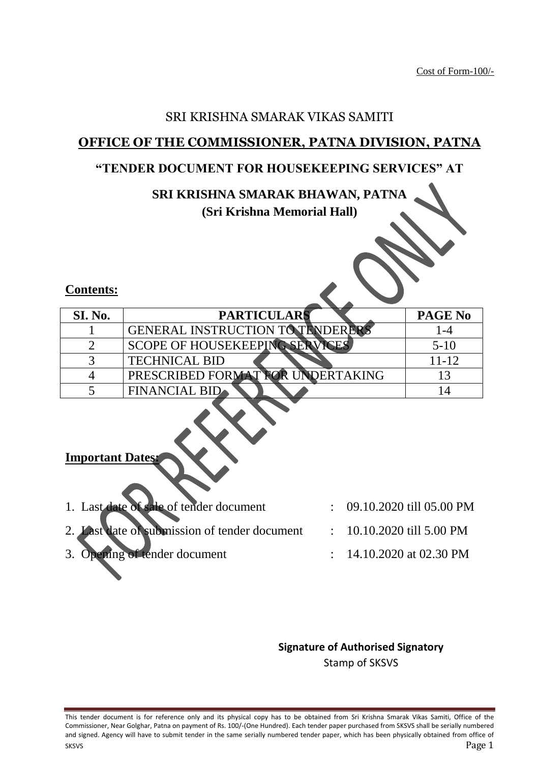## SRI KRISHNA SMARAK VIKAS SAMITI

## **OFFICE OF THE COMMISSIONER, PATNA DIVISION, PATNA**

## **"TENDER DOCUMENT FOR HOUSEKEEPING SERVICES" AT**

# **SRI KRISHNA SMARAK BHAWAN, PATNA**

## **(Sri Krishna Memorial Hall)**

## **Contents:**

| SI. No. | <b>PARTICULARS</b>                   | PAGE No |
|---------|--------------------------------------|---------|
|         | <b>GENERAL INSTRUCTION TO TENDER</b> |         |
|         | <b>SCOPE OF HOUSEKEEPING</b>         | $5-10$  |
|         | <b>TECHNICAL BID</b>                 | 11-12   |
|         | PRESCRIBED FORMAT FOR UNDERTAKING    |         |
|         | <b>FINANCIAL BID</b>                 |         |

## **Important Dates:**

| 1. Last date of sale of tender document       | $\therefore$ 09.10.2020 till 05.00 PM |
|-----------------------------------------------|---------------------------------------|
| 2. Last date of submission of tender document | $\therefore$ 10.10.2020 till 5.00 PM  |
| 3. Opening of tender document                 | $\therefore$ 14.10.2020 at 02.30 PM   |

E

## **Signature of Authorised Signatory** Stamp of SKSVS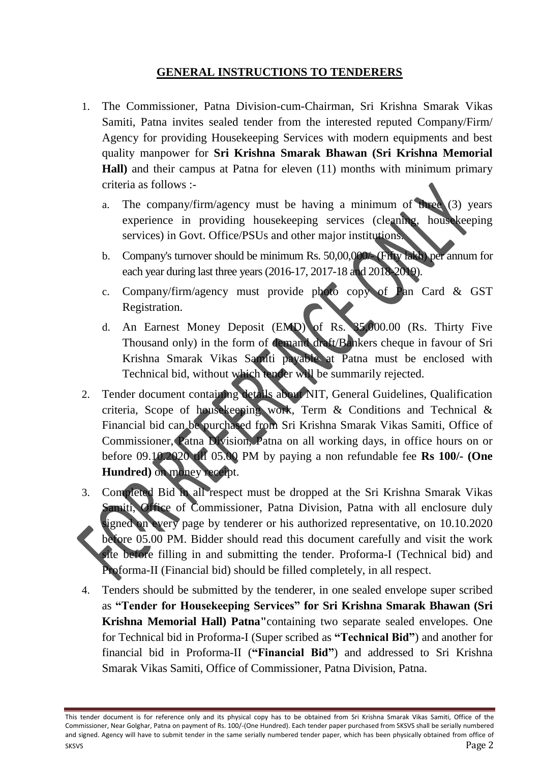## **GENERAL INSTRUCTIONS TO TENDERERS**

- 1. The Commissioner, Patna Division-cum-Chairman, Sri Krishna Smarak Vikas Samiti, Patna invites sealed tender from the interested reputed Company/Firm/ Agency for providing Housekeeping Services with modern equipments and best quality manpower for **Sri Krishna Smarak Bhawan (Sri Krishna Memorial Hall)** and their campus at Patna for eleven (11) months with minimum primary criteria as follows :
	- a. The company/firm/agency must be having a minimum of three (3) years experience in providing housekeeping services (cleaning, housekeeping services) in Govt. Office/PSUs and other major institutions.
	- b. Company's turnover should be minimum Rs. 50,00,000/- (Fifty lakh) per annum for each year during last three years (2016-17, 2017-18 and 2018-2019).
	- c. Company/firm/agency must provide photo copy of Pan Card & GST Registration.
	- d. An Earnest Money Deposit (EMD) of Rs. 35,000.00 (Rs. Thirty Five Thousand only) in the form of demand draft/Bankers cheque in favour of Sri Krishna Smarak Vikas Samiti payable at Patna must be enclosed with Technical bid, without which tender will be summarily rejected.
- 2. Tender document containing details about NIT, General Guidelines, Qualification criteria, Scope of housekeeping work, Term & Conditions and Technical & Financial bid can be purchased from Sri Krishna Smarak Vikas Samiti, Office of Commissioner, Patna Division, Patna on all working days, in office hours on or before 09.10.2020 till 05.00 PM by paying a non refundable fee **Rs 100/- (One Hundred)** on money receipt.
- 3. Completed Bid in all respect must be dropped at the Sri Krishna Smarak Vikas Samiti, Office of Commissioner, Patna Division, Patna with all enclosure duly signed on every page by tenderer or his authorized representative, on 10.10.2020 before 05.00 PM. Bidder should read this document carefully and visit the work site before filling in and submitting the tender. Proforma-I (Technical bid) and Proforma-II (Financial bid) should be filled completely, in all respect.
- 4. Tenders should be submitted by the tenderer, in one sealed envelope super scribed as **"Tender for Housekeeping Services" for Sri Krishna Smarak Bhawan (Sri Krishna Memorial Hall) Patna"**containing two separate sealed envelopes. One for Technical bid in Proforma-I (Super scribed as **"Technical Bid"**) and another for financial bid in Proforma-II (**"Financial Bid"**) and addressed to Sri Krishna Smarak Vikas Samiti, Office of Commissioner, Patna Division, Patna.

This tender document is for reference only and its physical copy has to be obtained from Sri Krishna Smarak Vikas Samiti, Office of the Commissioner, Near Golghar, Patna on payment of Rs. 100/-(One Hundred). Each tender paper purchased from SKSVS shall be serially numbered and signed. Agency will have to submit tender in the same serially numbered tender paper, which has been physically obtained from office of SKSVS Page 2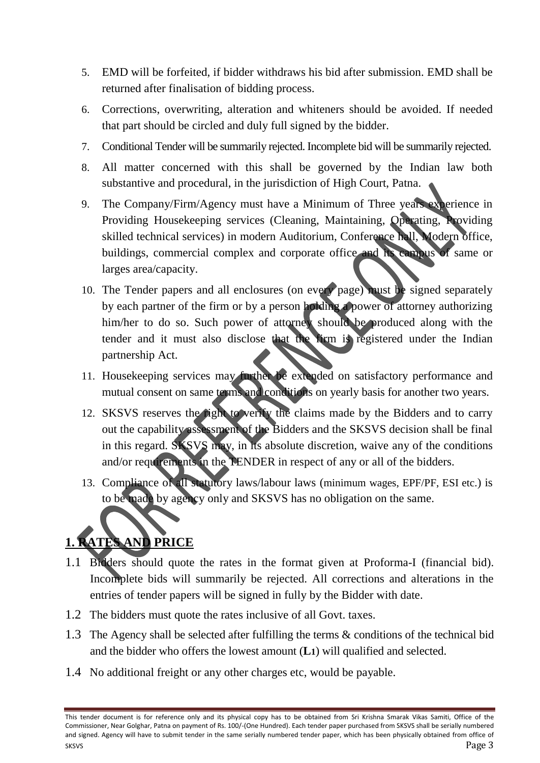- 5. EMD will be forfeited, if bidder withdraws his bid after submission. EMD shall be returned after finalisation of bidding process.
- 6. Corrections, overwriting, alteration and whiteners should be avoided. If needed that part should be circled and duly full signed by the bidder.
- 7. Conditional Tender will be summarily rejected. Incomplete bid will be summarily rejected.
- 8. All matter concerned with this shall be governed by the Indian law both substantive and procedural, in the jurisdiction of High Court, Patna.
- 9. The Company/Firm/Agency must have a Minimum of Three years experience in Providing Housekeeping services (Cleaning, Maintaining, Operating, Providing skilled technical services) in modern Auditorium, Conference hall, Modern office, buildings, commercial complex and corporate office and its campus of same or larges area/capacity.
- 10. The Tender papers and all enclosures (on every page) must be signed separately by each partner of the firm or by a person holding a power of attorney authorizing him/her to do so. Such power of attorney should be produced along with the tender and it must also disclose that the firm is registered under the Indian partnership Act.
- 11. Housekeeping services may further be extended on satisfactory performance and mutual consent on same terms and conditions on yearly basis for another two years.
- 12. SKSVS reserves the right to verify the claims made by the Bidders and to carry out the capability assessment of the Bidders and the SKSVS decision shall be final in this regard. SKSVS may, in its absolute discretion, waive any of the conditions and/or requirements in the TENDER in respect of any or all of the bidders.
- 13. Compliance of all statutory laws/labour laws (minimum wages, EPF/PF, ESI etc.) is to be made by agency only and SKSVS has no obligation on the same.

## **1. RATES AND PRICE**

- 1.1 Bidders should quote the rates in the format given at Proforma-I (financial bid). Incomplete bids will summarily be rejected. All corrections and alterations in the entries of tender papers will be signed in fully by the Bidder with date.
- 1.2 The bidders must quote the rates inclusive of all Govt. taxes.
- 1.3 The Agency shall be selected after fulfilling the terms & conditions of the technical bid and the bidder who offers the lowest amount (**L1**) will qualified and selected.
- 1.4 No additional freight or any other charges etc, would be payable.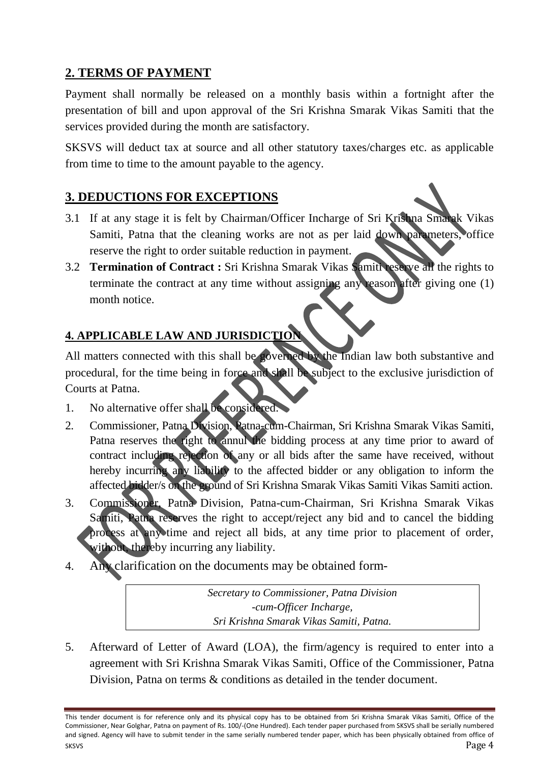## **2. TERMS OF PAYMENT**

Payment shall normally be released on a monthly basis within a fortnight after the presentation of bill and upon approval of the Sri Krishna Smarak Vikas Samiti that the services provided during the month are satisfactory.

SKSVS will deduct tax at source and all other statutory taxes/charges etc. as applicable from time to time to the amount payable to the agency.

## **3. DEDUCTIONS FOR EXCEPTIONS**

- 3.1 If at any stage it is felt by Chairman/Officer Incharge of Sri Krishna Smarak Vikas Samiti, Patna that the cleaning works are not as per laid down parameters, office reserve the right to order suitable reduction in payment.
- 3.2 **Termination of Contract :** Sri Krishna Smarak Vikas Samiti reserve all the rights to terminate the contract at any time without assigning any reason after giving one (1) month notice.

## **4. APPLICABLE LAW AND JURISDICTION**

All matters connected with this shall be governed by the Indian law both substantive and procedural, for the time being in force and shall be subject to the exclusive jurisdiction of Courts at Patna.

- 1. No alternative offer shall be considered.
- 2. Commissioner, Patna Division, Patna-cum-Chairman, Sri Krishna Smarak Vikas Samiti, Patna reserves the right to annul the bidding process at any time prior to award of contract including rejection of any or all bids after the same have received, without hereby incurring any liability to the affected bidder or any obligation to inform the affected bidder/s on the ground of Sri Krishna Smarak Vikas Samiti Vikas Samiti action.
- 3. Commissioner, Patna Division, Patna-cum-Chairman, Sri Krishna Smarak Vikas Samiti, Patna reserves the right to accept/reject any bid and to cancel the bidding process at any time and reject all bids, at any time prior to placement of order, without, thereby incurring any liability.
- 4. Any clarification on the documents may be obtained form-

*Secretary to Commissioner, Patna Division -cum-Officer Incharge, Sri Krishna Smarak Vikas Samiti, Patna.*

5. Afterward of Letter of Award (LOA), the firm/agency is required to enter into a agreement with Sri Krishna Smarak Vikas Samiti, Office of the Commissioner, Patna Division, Patna on terms & conditions as detailed in the tender document.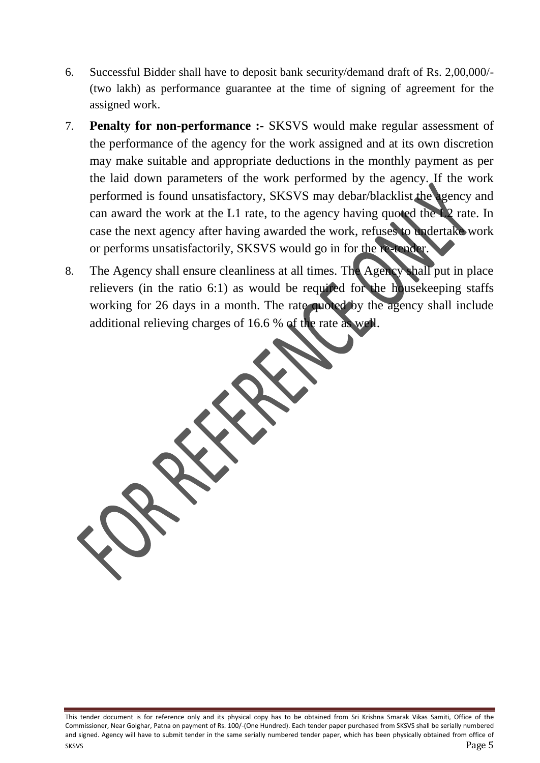- 6. Successful Bidder shall have to deposit bank security/demand draft of Rs. 2,00,000/- (two lakh) as performance guarantee at the time of signing of agreement for the assigned work.
- 7. **Penalty for non-performance :-** SKSVS would make regular assessment of the performance of the agency for the work assigned and at its own discretion may make suitable and appropriate deductions in the monthly payment as per the laid down parameters of the work performed by the agency. If the work performed is found unsatisfactory, SKSVS may debar/blacklist the agency and can award the work at the L1 rate, to the agency having quoted the L2 rate. In case the next agency after having awarded the work, refuses to undertake work or performs unsatisfactorily, SKSVS would go in for the re-tender.
- 8. The Agency shall ensure cleanliness at all times. The Agency shall put in place relievers (in the ratio 6:1) as would be required for the housekeeping staffs working for 26 days in a month. The rate quoted by the agency shall include additional relieving charges of 16.6 % of the rate as well.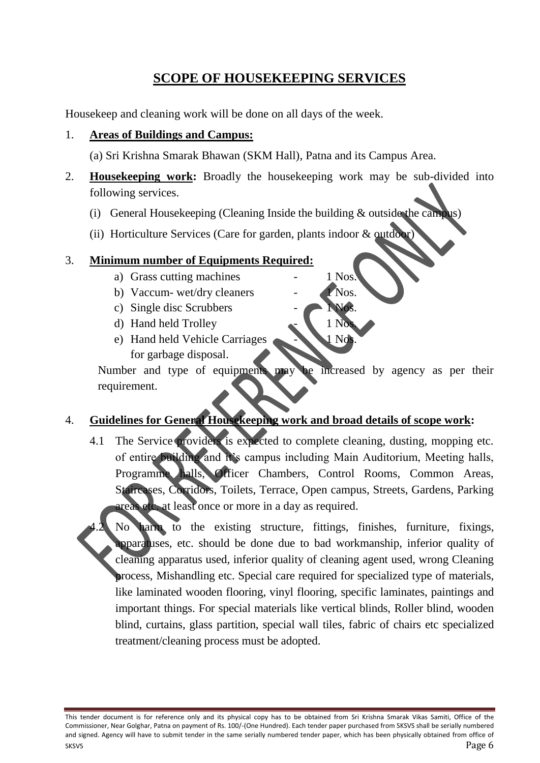## **SCOPE OF HOUSEKEEPING SERVICES**

Housekeep and cleaning work will be done on all days of the week.

#### 1. **Areas of Buildings and Campus:**

(a) Sri Krishna Smarak Bhawan (SKM Hall), Patna and its Campus Area.

- 2. **Housekeeping work:** Broadly the housekeeping work may be sub-divided into following services.
	- (i) General Housekeeping (Cleaning Inside the building & outside the campus)
	- (ii) Horticulture Services (Care for garden, plants indoor & outdoor)

#### 3. **Minimum number of Equipments Required:**

- a) Grass cutting machines 1 Nos.
- b) Vaccum- wet/dry cleaners 1 Nos.
- c) Single disc Scrubbers
- d) Hand held Trolley
- e) Hand held Vehicle Carriages  $\sim$  1 Nos. for garbage disposal.

Number and type of equipments may be increased by agency as per their requirement.

## 4. **Guidelines for General Housekeeping work and broad details of scope work:**

- 4.1 The Service providers is expected to complete cleaning, dusting, mopping etc. of entire building and it's campus including Main Auditorium, Meeting halls, Programme halls, Officer Chambers, Control Rooms, Common Areas, Staircases, Corridors, Toilets, Terrace, Open campus, Streets, Gardens, Parking areas etc. at least once or more in a day as required.
- No harm to the existing structure, fittings, finishes, furniture, fixings, apparatuses, etc. should be done due to bad workmanship, inferior quality of cleaning apparatus used, inferior quality of cleaning agent used, wrong Cleaning process, Mishandling etc. Special care required for specialized type of materials, like laminated wooden flooring, vinyl flooring, specific laminates, paintings and important things. For special materials like vertical blinds, Roller blind, wooden blind, curtains, glass partition, special wall tiles, fabric of chairs etc specialized treatment/cleaning process must be adopted.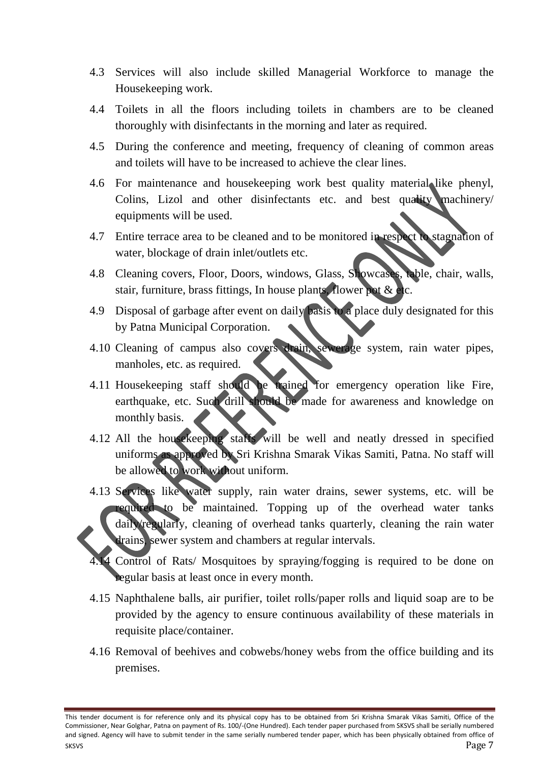- 4.3 Services will also include skilled Managerial Workforce to manage the Housekeeping work.
- 4.4 Toilets in all the floors including toilets in chambers are to be cleaned thoroughly with disinfectants in the morning and later as required.
- 4.5 During the conference and meeting, frequency of cleaning of common areas and toilets will have to be increased to achieve the clear lines.
- 4.6 For maintenance and housekeeping work best quality material like phenyl, Colins, Lizol and other disinfectants etc. and best quality machinery/ equipments will be used.
- 4.7 Entire terrace area to be cleaned and to be monitored in respect to stagnation of water, blockage of drain inlet/outlets etc.
- 4.8 Cleaning covers, Floor, Doors, windows, Glass, Showcases, table, chair, walls, stair, furniture, brass fittings, In house plants, flower pot & etc.
- 4.9 Disposal of garbage after event on daily basis to a place duly designated for this by Patna Municipal Corporation.
- 4.10 Cleaning of campus also covers drain, sewerage system, rain water pipes, manholes, etc. as required.
- 4.11 Housekeeping staff should be trained for emergency operation like Fire, earthquake, etc. Such drill should be made for awareness and knowledge on monthly basis.
- 4.12 All the housekeeping staffs will be well and neatly dressed in specified uniforms as approved by Sri Krishna Smarak Vikas Samiti, Patna. No staff will be allowed to work without uniform.
- 4.13 Services like water supply, rain water drains, sewer systems, etc. will be required to be maintained. Topping up of the overhead water tanks daily/regularly, cleaning of overhead tanks quarterly, cleaning the rain water drains, sewer system and chambers at regular intervals.
- 4 Control of Rats/ Mosquitoes by spraying/fogging is required to be done on regular basis at least once in every month.
- 4.15 Naphthalene balls, air purifier, toilet rolls/paper rolls and liquid soap are to be provided by the agency to ensure continuous availability of these materials in requisite place/container.
- 4.16 Removal of beehives and cobwebs/honey webs from the office building and its premises.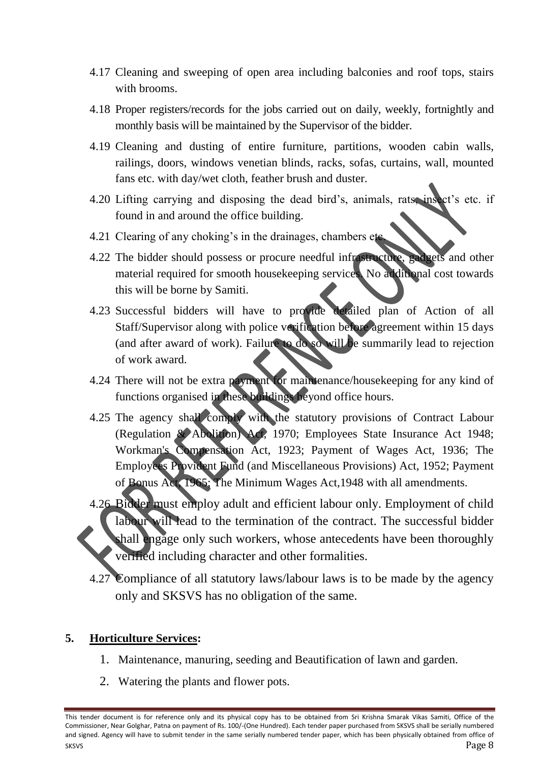- 4.17 Cleaning and sweeping of open area including balconies and roof tops, stairs with brooms.
- 4.18 Proper registers/records for the jobs carried out on daily, weekly, fortnightly and monthly basis will be maintained by the Supervisor of the bidder.
- 4.19 Cleaning and dusting of entire furniture, partitions, wooden cabin walls, railings, doors, windows venetian blinds, racks, sofas, curtains, wall, mounted fans etc. with day/wet cloth, feather brush and duster.
- 4.20 Lifting carrying and disposing the dead bird's, animals, rats, insect's etc. if found in and around the office building.
- 4.21 Clearing of any choking's in the drainages, chambers etc.
- 4.22 The bidder should possess or procure needful infrastructure, gadgets and other material required for smooth housekeeping services. No additional cost towards this will be borne by Samiti.
- 4.23 Successful bidders will have to provide detailed plan of Action of all Staff/Supervisor along with police verification before agreement within 15 days (and after award of work). Failure to do so will be summarily lead to rejection of work award.
- 4.24 There will not be extra payment for maintenance/housekeeping for any kind of functions organised in these buildings beyond office hours.
- 4.25 The agency shall comply with the statutory provisions of Contract Labour (Regulation & Abolition) Act, 1970; Employees State Insurance Act 1948; Workman's Compensation Act, 1923; Payment of Wages Act, 1936; The Employees Provident Fund (and Miscellaneous Provisions) Act, 1952; Payment of Bonus Act, 1965; The Minimum Wages Act,1948 with all amendments.
- 4.26 Bidder must employ adult and efficient labour only. Employment of child labour will lead to the termination of the contract. The successful bidder shall engage only such workers, whose antecedents have been thoroughly verified including character and other formalities.
	- 4.27 Compliance of all statutory laws/labour laws is to be made by the agency only and SKSVS has no obligation of the same.

#### **5. Horticulture Services:**

- 1. Maintenance, manuring, seeding and Beautification of lawn and garden.
- 2. Watering the plants and flower pots.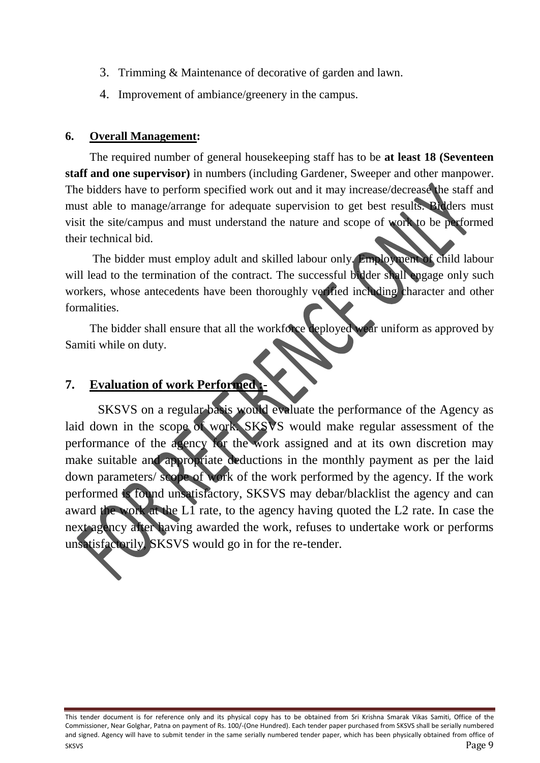- 3. Trimming & Maintenance of decorative of garden and lawn.
- 4. Improvement of ambiance/greenery in the campus.

#### **6. Overall Management:**

The required number of general housekeeping staff has to be **at least 18 (Seventeen staff and one supervisor)** in numbers (including Gardener, Sweeper and other manpower. The bidders have to perform specified work out and it may increase/decrease the staff and must able to manage/arrange for adequate supervision to get best results. Bidders must visit the site/campus and must understand the nature and scope of work to be performed their technical bid.

The bidder must employ adult and skilled labour only. Employment of child labour will lead to the termination of the contract. The successful bidder shall engage only such workers, whose antecedents have been thoroughly verified including character and other formalities.

The bidder shall ensure that all the workforce deployed wear uniform as approved by Samiti while on duty.

## **7.** Evaluation of work Performed

SKSVS on a regular basis would evaluate the performance of the Agency as laid down in the scope of work. SKSVS would make regular assessment of the performance of the agency for the work assigned and at its own discretion may make suitable and appropriate deductions in the monthly payment as per the laid down parameters/ scope of work of the work performed by the agency. If the work performed is found unsatisfactory, SKSVS may debar/blacklist the agency and can award the work at the L1 rate, to the agency having quoted the L2 rate. In case the next agency after having awarded the work, refuses to undertake work or performs unsatisfactorily, SKSVS would go in for the re-tender.

This tender document is for reference only and its physical copy has to be obtained from Sri Krishna Smarak Vikas Samiti, Office of the Commissioner, Near Golghar, Patna on payment of Rs. 100/-(One Hundred). Each tender paper purchased from SKSVS shall be serially numbered and signed. Agency will have to submit tender in the same serially numbered tender paper, which has been physically obtained from office of SKSVS Page 9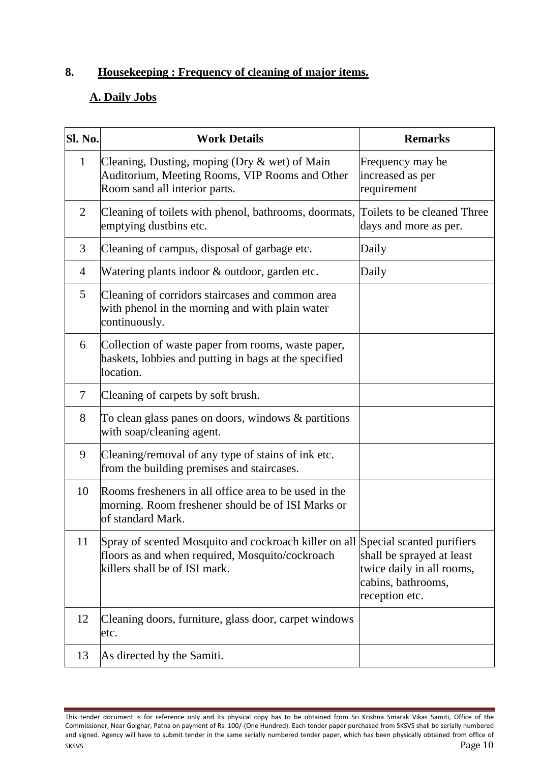## **8. Housekeeping : Frequency of cleaning of major items.**

## **A. Daily Jobs**

| Sl. No.        | <b>Work Details</b>                                                                                                                                                 | <b>Remarks</b>                                                                                 |
|----------------|---------------------------------------------------------------------------------------------------------------------------------------------------------------------|------------------------------------------------------------------------------------------------|
| $\mathbf{1}$   | Cleaning, Dusting, moping (Dry & wet) of Main<br>Auditorium, Meeting Rooms, VIP Rooms and Other<br>Room sand all interior parts.                                    | Frequency may be<br>increased as per<br>requirement                                            |
| 2              | Cleaning of toilets with phenol, bathrooms, doormats, Toilets to be cleaned Three<br>emptying dustbins etc.                                                         | days and more as per.                                                                          |
| 3              | Cleaning of campus, disposal of garbage etc.                                                                                                                        | Daily                                                                                          |
| $\overline{4}$ | Watering plants indoor & outdoor, garden etc.                                                                                                                       | Daily                                                                                          |
| 5              | Cleaning of corridors staircases and common area<br>with phenol in the morning and with plain water<br>continuously.                                                |                                                                                                |
| 6              | Collection of waste paper from rooms, waste paper,<br>baskets, lobbies and putting in bags at the specified<br>location.                                            |                                                                                                |
| 7              | Cleaning of carpets by soft brush.                                                                                                                                  |                                                                                                |
| 8              | To clean glass panes on doors, windows $\&$ partitions<br>with soap/cleaning agent.                                                                                 |                                                                                                |
| 9              | Cleaning/removal of any type of stains of ink etc.<br>from the building premises and staircases.                                                                    |                                                                                                |
| 10             | Rooms fresheners in all office area to be used in the<br>morning. Room freshener should be of ISI Marks or<br>of standard Mark.                                     |                                                                                                |
| 11             | Spray of scented Mosquito and cockroach killer on all Special scanted purifiers<br>floors as and when required, Mosquito/cockroach<br>killers shall be of ISI mark. | shall be sprayed at least<br>twice daily in all rooms,<br>cabins, bathrooms,<br>reception etc. |
| 12             | Cleaning doors, furniture, glass door, carpet windows<br>etc.                                                                                                       |                                                                                                |
| 13             | As directed by the Samiti.                                                                                                                                          |                                                                                                |

This tender document is for reference only and its physical copy has to be obtained from Sri Krishna Smarak Vikas Samiti, Office of the Commissioner, Near Golghar, Patna on payment of Rs. 100/-(One Hundred). Each tender paper purchased from SKSVS shall be serially numbered and signed. Agency will have to submit tender in the same serially numbered tender paper, which has been physically obtained from office of SKSVS  $\qquad$   $\qquad$   $\qquad$   $\qquad$   $\qquad$   $\qquad$   $\qquad$   $\qquad$   $\qquad$   $\qquad$   $\qquad$   $\qquad$   $\qquad$   $\qquad$   $\qquad$   $\qquad$   $\qquad$   $\qquad$   $\qquad$   $\qquad$   $\qquad$   $\qquad$   $\qquad$   $\qquad$   $\qquad$   $\qquad$   $\qquad$   $\qquad$   $\qquad$   $\qquad$   $\qquad$   $\qquad$   $\qquad$   $\qquad$   $\qquad$   $\qquad$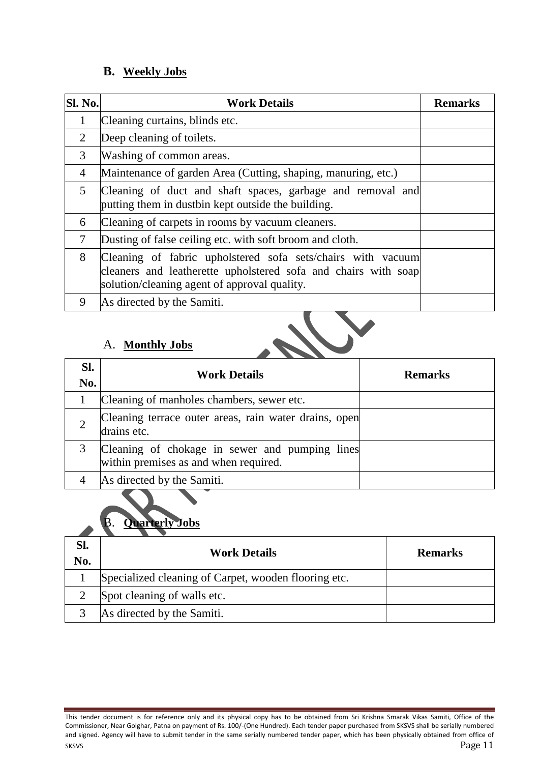## **B. Weekly Jobs**

| Sl. No.        | <b>Work Details</b>                                                                                                                                                           | <b>Remarks</b> |
|----------------|-------------------------------------------------------------------------------------------------------------------------------------------------------------------------------|----------------|
| 1              | Cleaning curtains, blinds etc.                                                                                                                                                |                |
| 2              | Deep cleaning of toilets.                                                                                                                                                     |                |
| 3              | Washing of common areas.                                                                                                                                                      |                |
| $\overline{4}$ | Maintenance of garden Area (Cutting, shaping, manuring, etc.)                                                                                                                 |                |
| 5              | Cleaning of duct and shaft spaces, garbage and removal and<br>putting them in dustbin kept outside the building.                                                              |                |
| 6              | Cleaning of carpets in rooms by vacuum cleaners.                                                                                                                              |                |
| 7              | Dusting of false ceiling etc. with soft broom and cloth.                                                                                                                      |                |
| 8              | Cleaning of fabric upholstered sofa sets/chairs with vacuum<br>cleaners and leatherette upholstered sofa and chairs with soap<br>solution/cleaning agent of approval quality. |                |
| 9              | As directed by the Samiti.                                                                                                                                                    |                |

## A. **Monthly Jobs**

| Sl.<br>No. | <b>Work Details</b>                                                                     | <b>Remarks</b> |
|------------|-----------------------------------------------------------------------------------------|----------------|
|            | Cleaning of manholes chambers, sewer etc.                                               |                |
|            | Cleaning terrace outer areas, rain water drains, open<br>drains etc.                    |                |
|            | Cleaning of chokage in sewer and pumping lines<br>within premises as and when required. |                |
|            | As directed by the Samiti.                                                              |                |

## B. **Quarterly Jobs**

| SI.<br>No. | <b>Work Details</b>                                  | <b>Remarks</b> |
|------------|------------------------------------------------------|----------------|
|            | Specialized cleaning of Carpet, wooden flooring etc. |                |
|            | Spot cleaning of walls etc.                          |                |
|            | As directed by the Samiti.                           |                |

This tender document is for reference only and its physical copy has to be obtained from Sri Krishna Smarak Vikas Samiti, Office of the Commissioner, Near Golghar, Patna on payment of Rs. 100/-(One Hundred). Each tender paper purchased from SKSVS shall be serially numbered and signed. Agency will have to submit tender in the same serially numbered tender paper, which has been physically obtained from office of  $S$ KSVS Page 11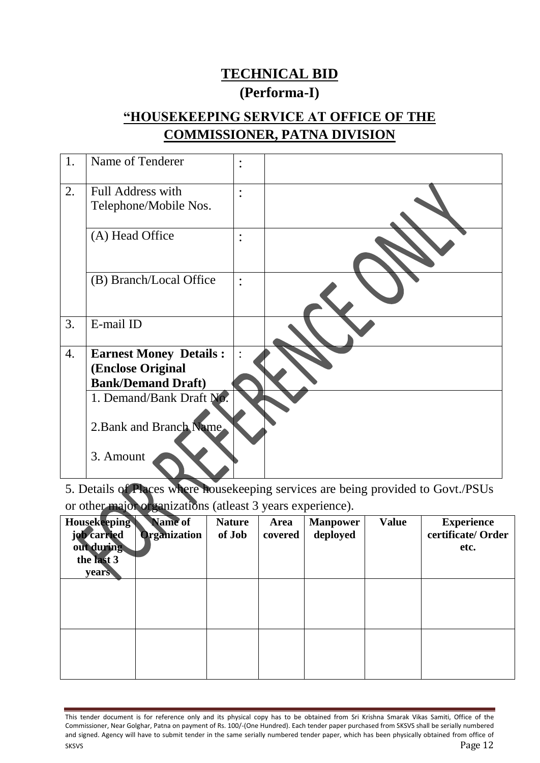## **TECHNICAL BID (Performa-I)**

## **"HOUSEKEEPING SERVICE AT OFFICE OF THE COMMISSIONER, PATNA DIVISION**

| 1. | Name of Tenderer                           | $\bullet$<br>$\bullet$            |  |
|----|--------------------------------------------|-----------------------------------|--|
| 2. | Full Address with<br>Telephone/Mobile Nos. | $\bullet$<br>$\ddot{\phantom{0}}$ |  |
|    | (A) Head Office                            | $\bullet$<br>$\bullet$            |  |
|    | (B) Branch/Local Office                    | $\bullet$                         |  |
| 3. | E-mail ID                                  |                                   |  |
| 4. | <b>Earnest Money Details:</b>              | $\ddot{\cdot}$                    |  |
|    | (Enclose Original                          |                                   |  |
|    | <b>Bank/Demand Draft)</b>                  |                                   |  |
|    | 1. Demand/Bank Draft No.                   |                                   |  |
|    | 2. Bank and Branch Name                    |                                   |  |
|    | 3. Amount                                  |                                   |  |

5. Details of Places where housekeeping services are being provided to Govt./PSUs or other major organizations (atleast 3 years experience).

| <b>Housekeeping</b><br>job carried<br>out during<br>the last 3<br>years | Name of<br><b>Organization</b> | <b>Nature</b><br>of Job | Area<br>covered | <b>Manpower</b><br>deployed | <b>Value</b> | <b>Experience</b><br>certificate/ Order<br>etc. |
|-------------------------------------------------------------------------|--------------------------------|-------------------------|-----------------|-----------------------------|--------------|-------------------------------------------------|
|                                                                         |                                |                         |                 |                             |              |                                                 |
|                                                                         |                                |                         |                 |                             |              |                                                 |

This tender document is for reference only and its physical copy has to be obtained from Sri Krishna Smarak Vikas Samiti, Office of the Commissioner, Near Golghar, Patna on payment of Rs. 100/-(One Hundred). Each tender paper purchased from SKSVS shall be serially numbered and signed. Agency will have to submit tender in the same serially numbered tender paper, which has been physically obtained from office of  $S$ KSVS  $P$ age 12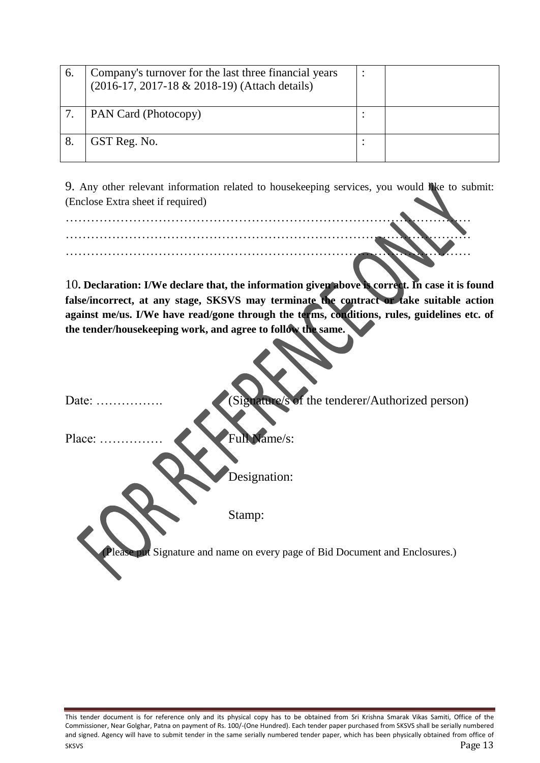| $\mathbf{b}$ | Company's turnover for the last three financial years<br>(2016-17, 2017-18 & 2018-19) (Attach details) |  |
|--------------|--------------------------------------------------------------------------------------------------------|--|
|              | PAN Card (Photocopy)                                                                                   |  |
|              | GST Reg. No.                                                                                           |  |

9. Any other relevant information related to housekeeping services, you would like to submit: (Enclose Extra sheet if required)

10**. Declaration: I/We declare that, the information given above is correct. In case it is found false/incorrect, at any stage, SKSVS may terminate the contract or take suitable action against me/us. I/We have read/gone through the terms, conditions, rules, guidelines etc. of the tender/housekeeping work, and agree to follow the same.**

Date: ……………. (Signature/s of the tenderer/Authorized person)

Place: …………… Full Name/s:

Designation:

Stamp:

**E** put Signature and name on every page of Bid Document and Enclosures.)

This tender document is for reference only and its physical copy has to be obtained from Sri Krishna Smarak Vikas Samiti, Office of the Commissioner, Near Golghar, Patna on payment of Rs. 100/-(One Hundred). Each tender paper purchased from SKSVS shall be serially numbered and signed. Agency will have to submit tender in the same serially numbered tender paper, which has been physically obtained from office of  $S$ KSVS  $P$ age 13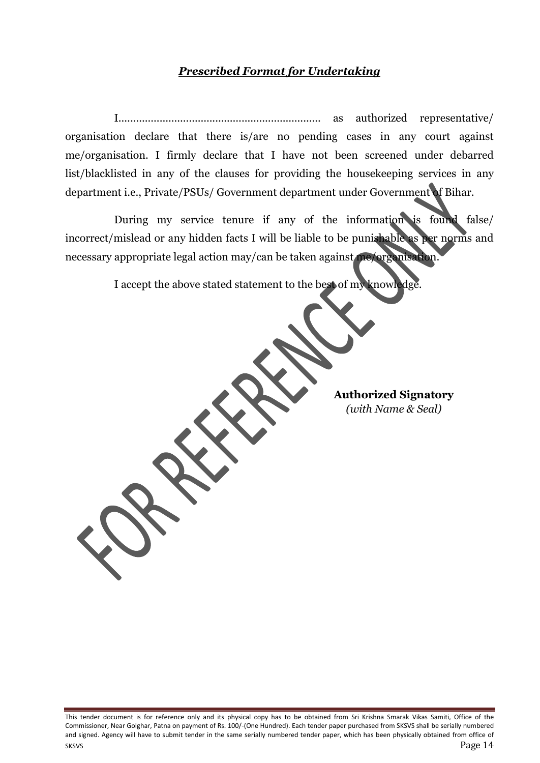#### *Prescribed Format for Undertaking*

I..................................................................... as authorized representative/ organisation declare that there is/are no pending cases in any court against me/organisation. I firmly declare that I have not been screened under debarred list/blacklisted in any of the clauses for providing the housekeeping services in any department i.e., Private/PSUs/ Government department under Government of Bihar.

During my service tenure if any of the information is found false/ incorrect/mislead or any hidden facts I will be liable to be punishable as per norms and necessary appropriate legal action may/can be taken against me/organisation.

I accept the above stated statement to the best of my knowledge.

**Authorized Signatory** *(with Name & Seal)*